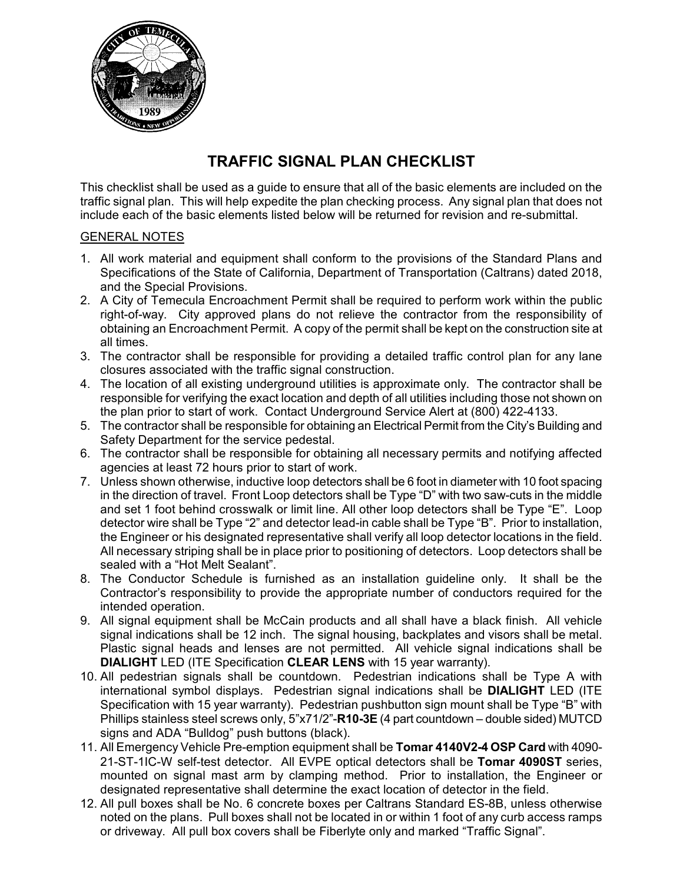

## **TRAFFIC SIGNAL PLAN CHECKLIST**

This checklist shall be used as a guide to ensure that all of the basic elements are included on the traffic signal plan. This will help expedite the plan checking process. Any signal plan that does not include each of the basic elements listed below will be returned for revision and re-submittal.

## GENERAL NOTES

- 1. All work material and equipment shall conform to the provisions of the Standard Plans and Specifications of the State of California, Department of Transportation (Caltrans) dated 2018, and the Special Provisions.
- 2. A City of Temecula Encroachment Permit shall be required to perform work within the public right-of-way. City approved plans do not relieve the contractor from the responsibility of obtaining an Encroachment Permit. A copy of the permit shall be kept on the construction site at all times.
- 3. The contractor shall be responsible for providing a detailed traffic control plan for any lane closures associated with the traffic signal construction.
- 4. The location of all existing underground utilities is approximate only. The contractor shall be responsible for verifying the exact location and depth of all utilities including those not shown on the plan prior to start of work. Contact Underground Service Alert at (800) 422-4133.
- 5. The contractor shall be responsible for obtaining an Electrical Permit from the City's Building and Safety Department for the service pedestal.
- 6. The contractor shall be responsible for obtaining all necessary permits and notifying affected agencies at least 72 hours prior to start of work.
- 7. Unless shown otherwise, inductive loop detectors shall be 6 foot in diameter with 10 foot spacing in the direction of travel. Front Loop detectors shall be Type "D" with two saw-cuts in the middle and set 1 foot behind crosswalk or limit line. All other loop detectors shall be Type "E". Loop detector wire shall be Type "2" and detector lead-in cable shall be Type "B". Prior to installation, the Engineer or his designated representative shall verify all loop detector locations in the field. All necessary striping shall be in place prior to positioning of detectors. Loop detectors shall be sealed with a "Hot Melt Sealant".
- 8. The Conductor Schedule is furnished as an installation guideline only. It shall be the Contractor's responsibility to provide the appropriate number of conductors required for the intended operation.
- 9. All signal equipment shall be McCain products and all shall have a black finish. All vehicle signal indications shall be 12 inch. The signal housing, backplates and visors shall be metal. Plastic signal heads and lenses are not permitted. All vehicle signal indications shall be **DIALIGHT** LED (ITE Specification **CLEAR LENS** with 15 year warranty).
- 10. All pedestrian signals shall be countdown. Pedestrian indications shall be Type A with international symbol displays. Pedestrian signal indications shall be **DIALIGHT** LED (ITE Specification with 15 year warranty). Pedestrian pushbutton sign mount shall be Type "B" with Phillips stainless steel screws only, 5"x71/2"-**R10-3E** (4 part countdown – double sided) MUTCD signs and ADA "Bulldog" push buttons (black).
- 11. All Emergency Vehicle Pre-emption equipment shall be **Tomar 4140V2-4 OSP Card** with 4090- 21-ST-1IC-W self-test detector. All EVPE optical detectors shall be **Tomar 4090ST** series, mounted on signal mast arm by clamping method. Prior to installation, the Engineer or designated representative shall determine the exact location of detector in the field.
- 12. All pull boxes shall be No. 6 concrete boxes per Caltrans Standard ES-8B, unless otherwise noted on the plans. Pull boxes shall not be located in or within 1 foot of any curb access ramps or driveway. All pull box covers shall be Fiberlyte only and marked "Traffic Signal".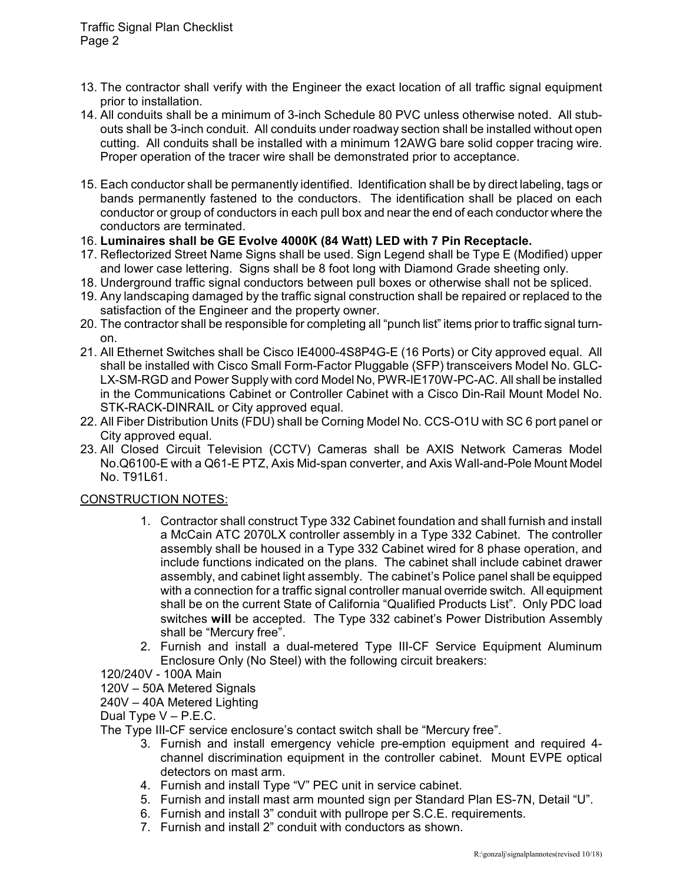- 13. The contractor shall verify with the Engineer the exact location of all traffic signal equipment prior to installation.
- 14. All conduits shall be a minimum of 3-inch Schedule 80 PVC unless otherwise noted. All stubouts shall be 3-inch conduit. All conduits under roadway section shall be installed without open cutting. All conduits shall be installed with a minimum 12AWG bare solid copper tracing wire. Proper operation of the tracer wire shall be demonstrated prior to acceptance.
- 15. Each conductor shall be permanently identified. Identification shall be by direct labeling, tags or bands permanently fastened to the conductors. The identification shall be placed on each conductor or group of conductors in each pull box and near the end of each conductor where the conductors are terminated.
- 16. **Luminaires shall be GE Evolve 4000K (84 Watt) LED with 7 Pin Receptacle.**
- 17. Reflectorized Street Name Signs shall be used. Sign Legend shall be Type E (Modified) upper and lower case lettering. Signs shall be 8 foot long with Diamond Grade sheeting only.
- 18. Underground traffic signal conductors between pull boxes or otherwise shall not be spliced.
- 19. Any landscaping damaged by the traffic signal construction shall be repaired or replaced to the satisfaction of the Engineer and the property owner.
- 20. The contractor shall be responsible for completing all "punch list" items prior to traffic signal turnon.
- 21. All Ethernet Switches shall be Cisco IE4000-4S8P4G-E (16 Ports) or City approved equal. All shall be installed with Cisco Small Form-Factor Pluggable (SFP) transceivers Model No. GLC-LX-SM-RGD and Power Supply with cord Model No, PWR-IE170W-PC-AC. All shall be installed in the Communications Cabinet or Controller Cabinet with a Cisco Din-Rail Mount Model No. STK-RACK-DINRAIL or City approved equal.
- 22. All Fiber Distribution Units (FDU) shall be Corning Model No. CCS-O1U with SC 6 port panel or City approved equal.
- 23. All Closed Circuit Television (CCTV) Cameras shall be AXIS Network Cameras Model No.Q6100-E with a Q61-E PTZ, Axis Mid-span converter, and Axis Wall-and-Pole Mount Model No. T91L61.

## CONSTRUCTION NOTES:

- 1. Contractor shall construct Type 332 Cabinet foundation and shall furnish and install a McCain ATC 2070LX controller assembly in a Type 332 Cabinet. The controller assembly shall be housed in a Type 332 Cabinet wired for 8 phase operation, and include functions indicated on the plans. The cabinet shall include cabinet drawer assembly, and cabinet light assembly. The cabinet's Police panel shall be equipped with a connection for a traffic signal controller manual override switch. All equipment shall be on the current State of California "Qualified Products List". Only PDC load switches **will** be accepted. The Type 332 cabinet's Power Distribution Assembly shall be "Mercury free".
- 2. Furnish and install a dual-metered Type III-CF Service Equipment Aluminum Enclosure Only (No Steel) with the following circuit breakers:
- 120/240V 100A Main
- 120V 50A Metered Signals
- 240V 40A Metered Lighting

Dual Type V – P.E.C.

The Type III-CF service enclosure's contact switch shall be "Mercury free".

- 3. Furnish and install emergency vehicle pre-emption equipment and required 4 channel discrimination equipment in the controller cabinet. Mount EVPE optical detectors on mast arm.
- 4. Furnish and install Type "V" PEC unit in service cabinet.
- 5. Furnish and install mast arm mounted sign per Standard Plan ES-7N, Detail "U".
- 6. Furnish and install 3" conduit with pullrope per S.C.E. requirements.
- 7. Furnish and install 2" conduit with conductors as shown.